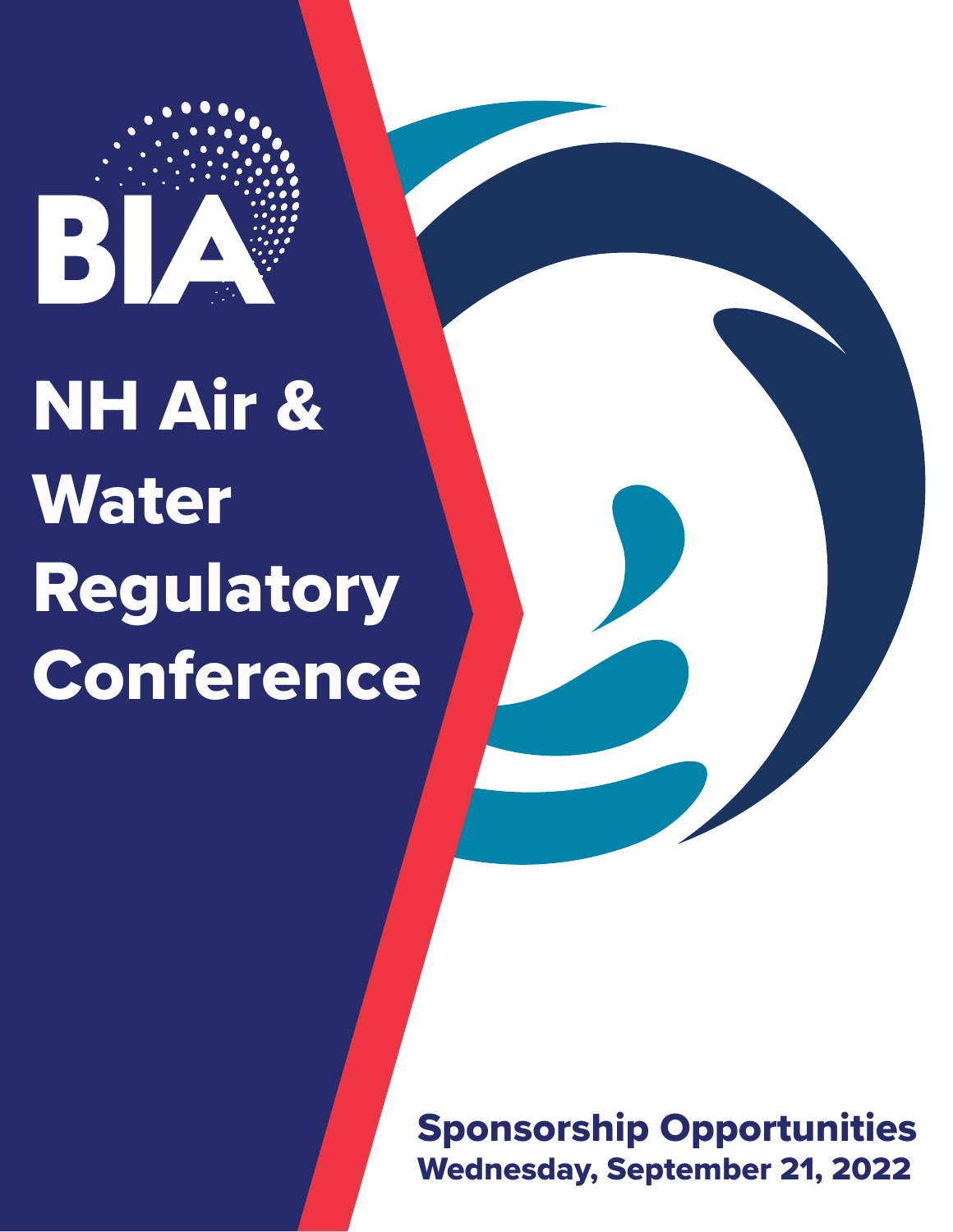

# NH Air & Water Regulatory Conference

Sponsorship Opportunities Wednesday, September 21, 2022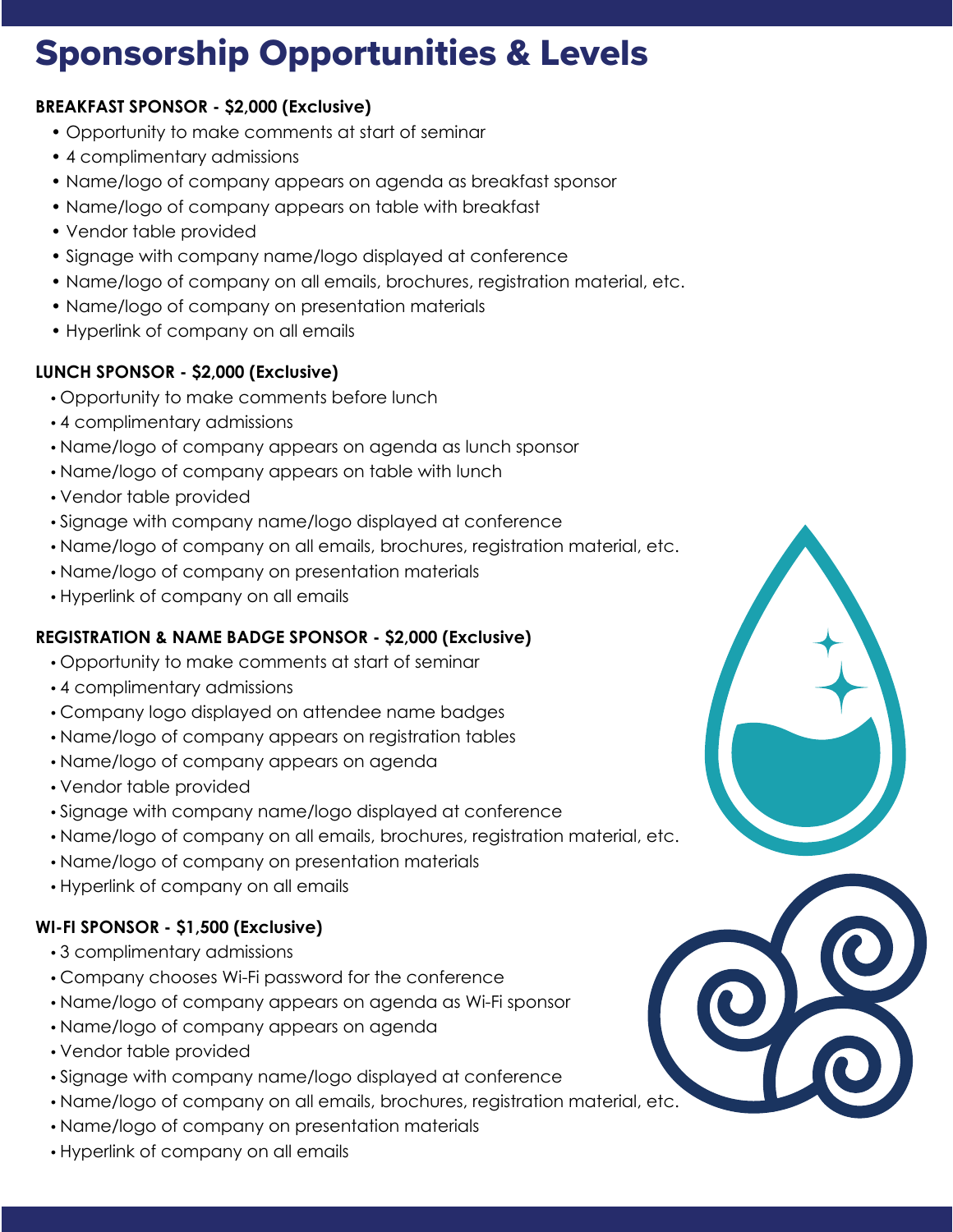# Sponsorship Opportunities & Levels

### **BREAKFAST SPONSOR - \$2,000 (Exclusive)**

- Opportunity to make comments at start of seminar
- 4 complimentary admissions
- Name/logo of company appears on agenda as breakfast sponsor
- Name/logo of company appears on table with breakfast
- Vendor table provided
- Signage with company name/logo displayed at conference
- Name/logo of company on all emails, brochures, registration material, etc.
- Name/logo of company on presentation materials
- Hyperlink of company on all emails

## **LUNCH SPONSOR - \$2,000 (Exclusive)**

- Opportunity to make comments before lunch
- 4 complimentary admissions
- Name/logo of company appears on agenda as lunch sponsor
- Name/logo of company appears on table with lunch
- Vendor table provided
- Signage with company name/logo displayed at conference
- Name/logo of company on all emails, brochures, registration material, etc.
- Name/logo of company on presentation materials
- Hyperlink of company on all emails

# **REGISTRATION & NAME BADGE SPONSOR - \$2,000 (Exclusive)**

- Opportunity to make comments at start of seminar
- 4 complimentary admissions
- Company logo displayed on attendee name badges
- Name/logo of company appears on registration tables
- Name/logo of company appears on agenda
- Vendor table provided
- Signage with company name/logo displayed at conference
- Name/logo of company on all emails, brochures, registration material, etc.
- Name/logo of company on presentation materials
- Hyperlink of company on all emails

# **WI-FI SPONSOR - \$1,500 (Exclusive)**

- 3 complimentary admissions
- Company chooses Wi-Fi password for the conference
- Name/logo of company appears on agenda as Wi-Fi sponsor
- Name/logo of company appears on agenda
- Vendor table provided
- Signage with company name/logo displayed at conference
- Name/logo of company on all emails, brochures, registration material, etc.
- Name/logo of company on presentation materials
- Hyperlink of company on all emails